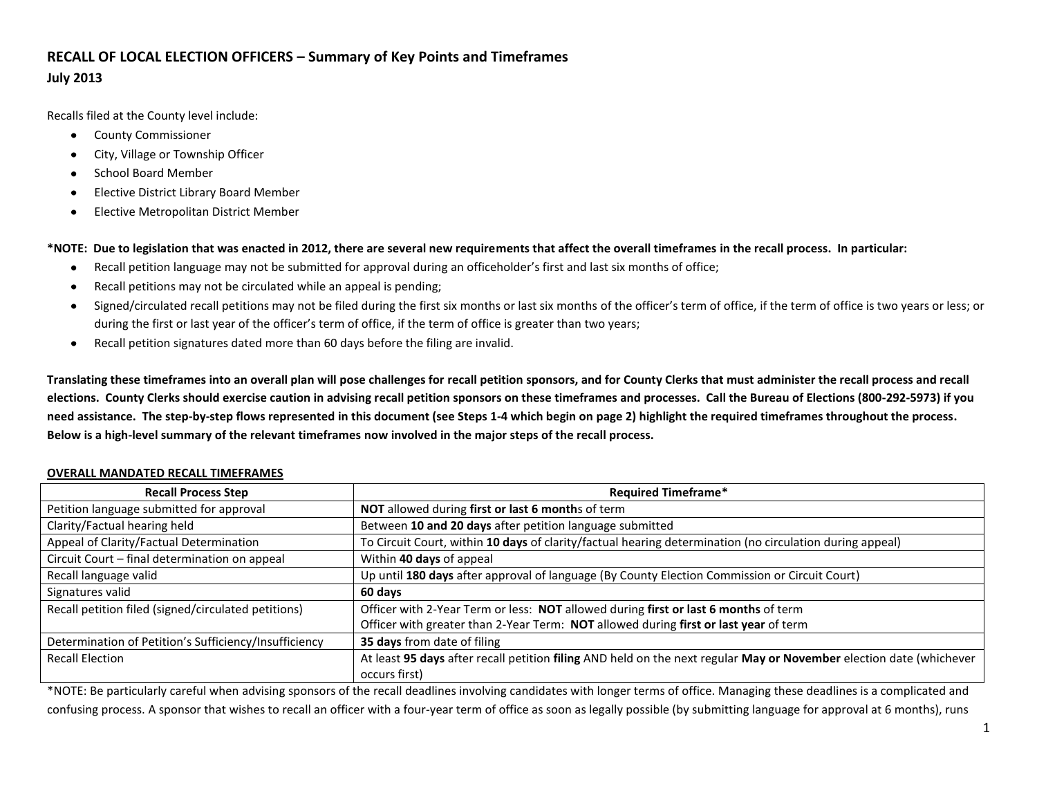# **RECALL OF LOCAL ELECTION OFFICERS – Summary of Key Points and Timeframes July 2013**

Recalls filed at the County level include:

- $\bullet$ County Commissioner
- City, Village or Township Officer  $\bullet$
- School Board Member
- Elective District Library Board Member
- Elective Metropolitan District Member  $\bullet$

**\*NOTE: Due to legislation that was enacted in 2012, there are several new requirements that affect the overall timeframes in the recall process. In particular:**

- Recall petition language may not be submitted for approval during an officeholder's first and last six months of office;  $\bullet$
- Recall petitions may not be circulated while an appeal is pending;  $\bullet$
- Signed/circulated recall petitions may not be filed during the first six months or last six months of the officer's term of office, if the term of office is two years or less; or during the first or last year of the officer's term of office, if the term of office is greater than two years;
- $\bullet$ Recall petition signatures dated more than 60 days before the filing are invalid.

**Translating these timeframes into an overall plan will pose challenges for recall petition sponsors, and for County Clerks that must administer the recall process and recall elections. County Clerks should exercise caution in advising recall petition sponsors on these timeframes and processes. Call the Bureau of Elections (800-292-5973) if you need assistance. The step-by-step flows represented in this document (see Steps 1-4 which begin on page 2) highlight the required timeframes throughout the process. Below is a high-level summary of the relevant timeframes now involved in the major steps of the recall process.**

# **Recall Process Step Required Timeframe\*** Petition language submitted for approval **NOT** allowed during **first or last 6 month**s of term Clarity/Factual hearing held Between **10 and 20 days** after petition language submitted Appeal of Clarity/Factual Determination To Circuit Court, within **10 days** of clarity/factual hearing determination (no circulation during appeal) Circuit Court – final determination on appeal Within **40 days** of appeal Recall language valid Up until **180 days** after approval of language (By County Election Commission or Circuit Court) Signatures valid **60 days** Recall petition filed (signed/circulated petitions) Officer with 2-Year Term or less: **NOT** allowed during **first or last 6 months** of term Officer with greater than 2-Year Term: **NOT** allowed during **first or last year** of term Determination of Petition's Sufficiency/Insufficiency **35 days** from date of filing Recall Election **At least 95 days** after recall petition **filing** AND held on the next regular **May or November** election date (whichever occurs first)

# **OVERALL MANDATED RECALL TIMEFRAMES**

\*NOTE: Be particularly careful when advising sponsors of the recall deadlines involving candidates with longer terms of office. Managing these deadlines is a complicated and confusing process. A sponsor that wishes to recall an officer with a four-year term of office as soon as legally possible (by submitting language for approval at 6 months), runs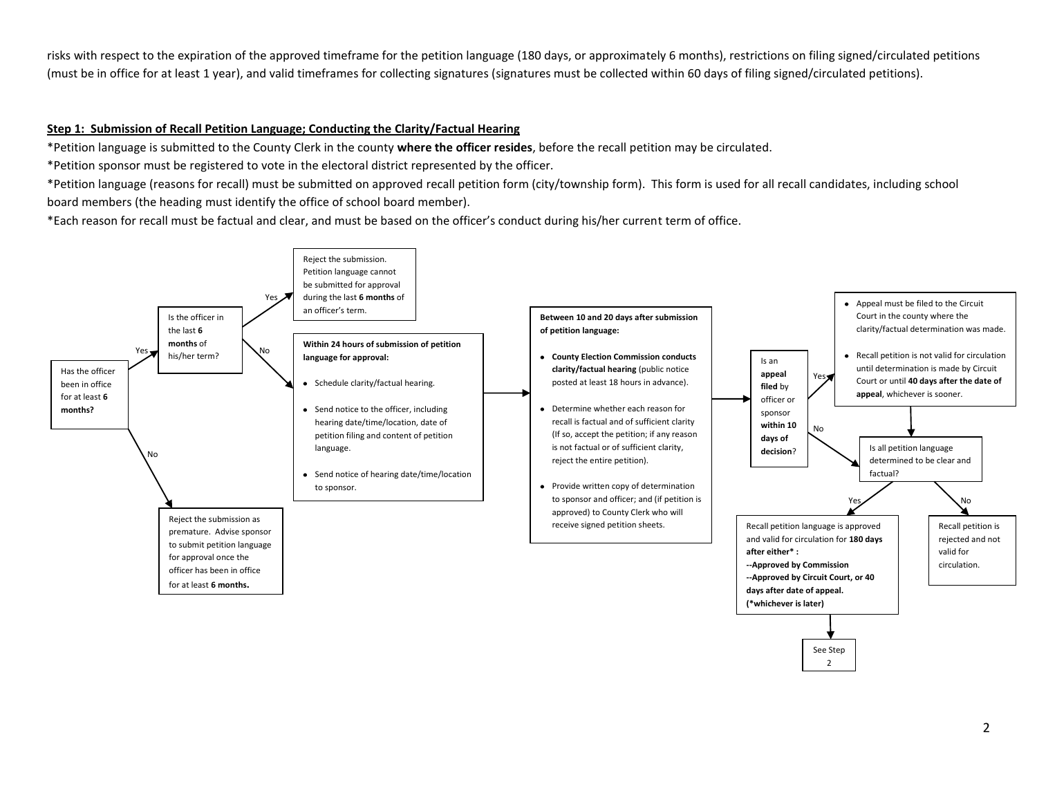risks with respect to the expiration of the approved timeframe for the petition language (180 days, or approximately 6 months), restrictions on filing signed/circulated petitions (must be in office for at least 1 year), and valid timeframes for collecting signatures (signatures must be collected within 60 days of filing signed/circulated petitions).

# **Step 1: Submission of Recall Petition Language; Conducting the Clarity/Factual Hearing**

\*Petition language is submitted to the County Clerk in the county **where the officer resides**, before the recall petition may be circulated.

\*Petition sponsor must be registered to vote in the electoral district represented by the officer.

\*Petition language (reasons for recall) must be submitted on approved recall petition form (city/township form). This form is used for all recall candidates, including school board members (the heading must identify the office of school board member).

\*Each reason for recall must be factual and clear, and must be based on the officer's conduct during his/her current term of office.

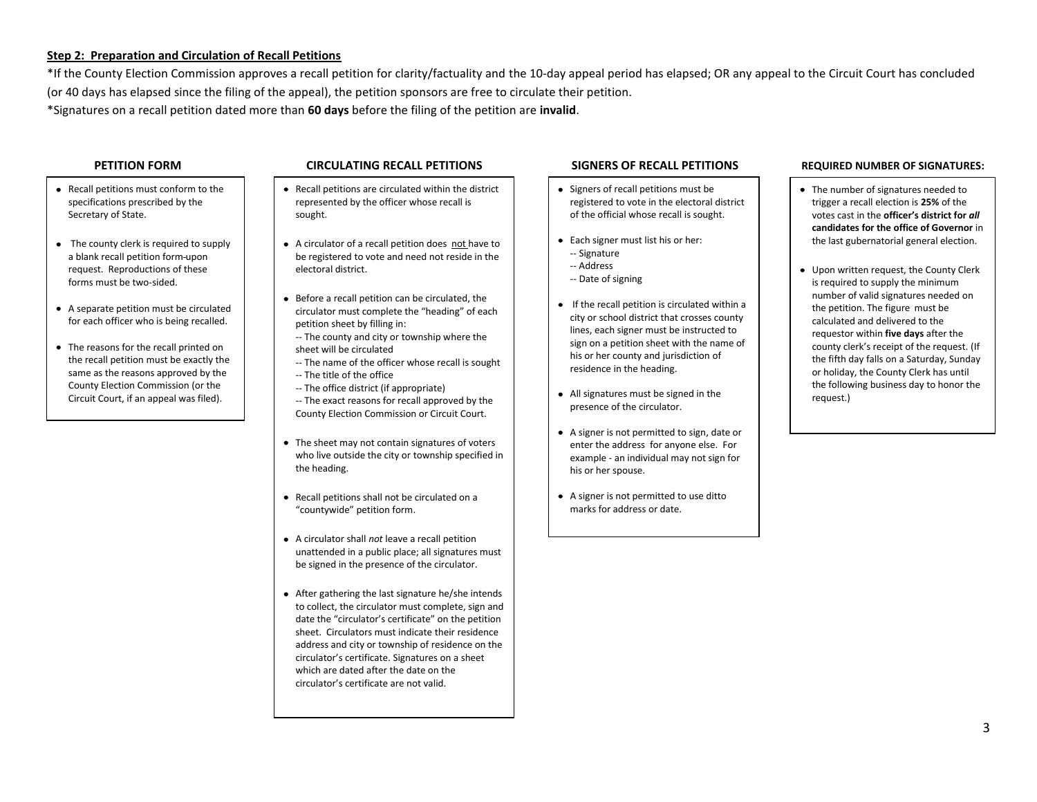### **Step 2: Preparation and Circulation of Recall Petitions**

\*If the County Election Commission approves a recall petition for clarity/factuality and the 10-day appeal period has elapsed; OR any appeal to the Circuit Court has concluded (or 40 days has elapsed since the filing of the appeal), the petition sponsors are free to circulate their petition. \*Signatures on a recall petition dated more than **60 days** before the filing of the petition are **invalid**.

- Recall petitions must conform to the specifications prescribed by the Secretary of State.
- The county clerk is required to supply a blank recall petition form upon request. Reproductions of these forms must be two-sided.
- A separate petition must be circulated for each officer who is being recalled.
- The reasons for the recall printed on the recall petition must be exactly the same as the reasons approved by the County Election Commission (or the Circuit Court, if an appeal was filed).

## **PETITION FORM CIRCULATING RECALL PETITIONS SIGNERS OF RECALL PETITIONS REQUIRED NUMBER OF SIGNATURES:**

- Recall petitions are circulated within the district  $\bullet$ represented by the officer whose recall is sought.
- A circulator of a recall petition does not have to be registered to vote and need not reside in the electoral district.
- Before a recall petition can be circulated, the circulator must complete the "heading" of each petition sheet by filling in:
- -- The county and city or township where the sheet will be circulated
- -- The name of the officer whose recall is sought -- The title of the office
- -- The office district (if appropriate) -- The exact reasons for recall approved by the County Election Commission or Circuit Court.
- The sheet may not contain signatures of voters who live outside the city or township specified in the heading.
- Recall petitions shall not be circulated on a "countywide" petition form.
- A circulator shall *not* leave a recall petition unattended in a public place; all signatures must be signed in the presence of the circulator.
- After gathering the last signature he/she intends to collect, the circulator must complete, sign and date the "circulator's certificate" on the petition sheet. Circulators must indicate their residence address and city or township of residence on the circulator's certificate. Signatures on a sheet which are dated after the date on the circulator's certificate are not valid.

- Signers of recall petitions must be registered to vote in the electoral district of the official whose recall is sought.
- Each signer must list his or her:
	- -- Signature
	- -- Address
	- -- Date of signing
- If the recall petition is circulated within a city or school district that crosses county lines, each signer must be instructed to sign on a petition sheet with the name of his or her county and jurisdiction of residence in the heading.
- All signatures must be signed in the presence of the circulator.
- A signer is not permitted to sign, date or enter the address for anyone else. For example - an individual may not sign for his or her spouse.
- A signer is not permitted to use ditto marks for address or date.

- The number of signatures needed to trigger a recall election is **25%** of the votes cast in the **officer's district for** *all*  **candidates for the office of Governor** in the last gubernatorial general election.
- Upon written request, the County Clerk is required to supply the minimum number of valid signatures needed on the petition. The figure must be calculated and delivered to the requestor within **five days** after the county clerk's receipt of the request. (If the fifth day falls on a Saturday, Sunday or holiday, the County Clerk has until the following business day to honor the request.)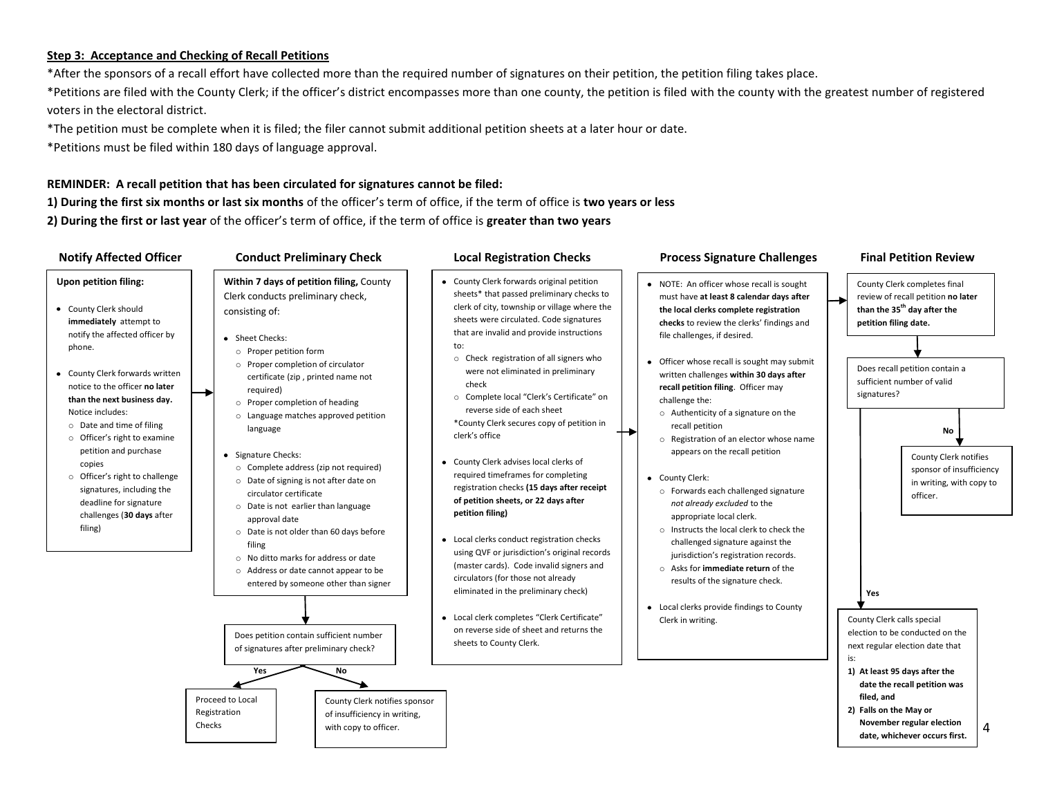## **Step 3: Acceptance and Checking of Recall Petitions**

\*After the sponsors of a recall effort have collected more than the required number of signatures on their petition, the petition filing takes place. \*Petitions are filed with the County Clerk; if the officer's district encompasses more than one county, the petition is filed with the county with the greatest number of registered voters in the electoral district.

\*The petition must be complete when it is filed; the filer cannot submit additional petition sheets at a later hour or date.

\*Petitions must be filed within 180 days of language approval.

# **REMINDER: A recall petition that has been circulated for signatures cannot be filed:**

**1) During the first six months or last six months** of the officer's term of office, if the term of office is **two years or less 2) During the first or last year** of the officer's term of office, if the term of office is **greater than two years**

| <b>Notify Affected Officer</b>                                                                                                                                                                                                                                                                                                                                                                                                                                                                                       | <b>Conduct Preliminary Check</b>                                                                                                                                                                                                                                                                                                                                                                                                                                                                                                                                                                                                                                                                                                                                                                                                                                                                                     | <b>Local Registration Checks</b>                                                                                                                                                                                                                                                                                                                                                                                                                                                                                                                                                                                                                                                                                                                                                                                                                                                                                                                                                                                  | <b>Process Signature Challenges</b>                                                                                                                                                                                                                                                                                                                                                                                                                                                                                                                                                                                                                                                                                                                                                                                                                                                              | <b>Final Petition Review</b>                                                                                                                                                                                                                                                                                                                                                                                                                                                                                                                                                                                                  |
|----------------------------------------------------------------------------------------------------------------------------------------------------------------------------------------------------------------------------------------------------------------------------------------------------------------------------------------------------------------------------------------------------------------------------------------------------------------------------------------------------------------------|----------------------------------------------------------------------------------------------------------------------------------------------------------------------------------------------------------------------------------------------------------------------------------------------------------------------------------------------------------------------------------------------------------------------------------------------------------------------------------------------------------------------------------------------------------------------------------------------------------------------------------------------------------------------------------------------------------------------------------------------------------------------------------------------------------------------------------------------------------------------------------------------------------------------|-------------------------------------------------------------------------------------------------------------------------------------------------------------------------------------------------------------------------------------------------------------------------------------------------------------------------------------------------------------------------------------------------------------------------------------------------------------------------------------------------------------------------------------------------------------------------------------------------------------------------------------------------------------------------------------------------------------------------------------------------------------------------------------------------------------------------------------------------------------------------------------------------------------------------------------------------------------------------------------------------------------------|--------------------------------------------------------------------------------------------------------------------------------------------------------------------------------------------------------------------------------------------------------------------------------------------------------------------------------------------------------------------------------------------------------------------------------------------------------------------------------------------------------------------------------------------------------------------------------------------------------------------------------------------------------------------------------------------------------------------------------------------------------------------------------------------------------------------------------------------------------------------------------------------------|-------------------------------------------------------------------------------------------------------------------------------------------------------------------------------------------------------------------------------------------------------------------------------------------------------------------------------------------------------------------------------------------------------------------------------------------------------------------------------------------------------------------------------------------------------------------------------------------------------------------------------|
| <b>Upon petition filing:</b><br>• County Clerk should<br>immediately attempt to<br>notify the affected officer by<br>phone.<br>• County Clerk forwards written<br>notice to the officer no later<br>than the next business day.<br>Notice includes:<br>$\circ$ Date and time of filing<br>o Officer's right to examine<br>petition and purchase<br>copies<br>o Officer's right to challenge<br>signatures, including the<br>deadline for signature<br>challenges (30 days after<br>filing)<br>Registration<br>Checks | Within 7 days of petition filing, County<br>Clerk conducts preliminary check,<br>consisting of:<br>• Sheet Checks:<br>o Proper petition form<br>o Proper completion of circulator<br>certificate (zip, printed name not<br>required)<br>o Proper completion of heading<br>o Language matches approved petition<br>language<br>• Signature Checks:<br>o Complete address (zip not required)<br>o Date of signing is not after date on<br>circulator certificate<br>o Date is not earlier than language<br>approval date<br>O Date is not older than 60 days before<br>filing<br>o No ditto marks for address or date<br>o Address or date cannot appear to be<br>entered by someone other than signer<br>Does petition contain sufficient number<br>of signatures after preliminary check?<br>Yes<br>No<br>Proceed to Local<br>County Clerk notifies sponsor<br>of insufficiency in writing,<br>with copy to officer. | • County Clerk forwards original petition<br>sheets* that passed preliminary checks to<br>clerk of city, township or village where the<br>sheets were circulated. Code signatures<br>that are invalid and provide instructions<br>to:<br>o Check registration of all signers who<br>were not eliminated in preliminary<br>check<br>o Complete local "Clerk's Certificate" on<br>reverse side of each sheet<br>*County Clerk secures copy of petition in<br>clerk's office<br>• County Clerk advises local clerks of<br>required timeframes for completing<br>registration checks (15 days after receipt<br>of petition sheets, or 22 days after<br>petition filing)<br>• Local clerks conduct registration checks<br>using QVF or jurisdiction's original records<br>(master cards). Code invalid signers and<br>circulators (for those not already<br>eliminated in the preliminary check)<br>• Local clerk completes "Clerk Certificate"<br>on reverse side of sheet and returns the<br>sheets to County Clerk. | • NOTE: An officer whose recall is sought<br>must have at least 8 calendar days after<br>the local clerks complete registration<br>checks to review the clerks' findings and<br>file challenges, if desired.<br>• Officer whose recall is sought may submit<br>written challenges within 30 days after<br>recall petition filing. Officer may<br>challenge the:<br>o Authenticity of a signature on the<br>recall petition<br>o Registration of an elector whose name<br>appears on the recall petition<br>• County Clerk:<br>o Forwards each challenged signature<br>not already excluded to the<br>appropriate local clerk.<br>o Instructs the local clerk to check the<br>challenged signature against the<br>jurisdiction's registration records.<br>○ Asks for immediate return of the<br>results of the signature check.<br>• Local clerks provide findings to County<br>Clerk in writing. | County Clerk completes final<br>review of recall petition no later<br>than the 35 <sup>th</sup> day after the<br>petition filing date.<br>Does recall petition contain a<br>sufficient number of valid<br>signatures?<br>No<br><b>County Clerk notifies</b><br>sponsor of insufficiency<br>in writing, with copy to<br>officer.<br>Yes<br>County Clerk calls special<br>election to be conducted on the<br>next regular election date that<br>is:<br>1) At least 95 days after the<br>date the recall petition was<br>filed, and<br>2) Falls on the May or<br>November regular election<br>4<br>date, whichever occurs first. |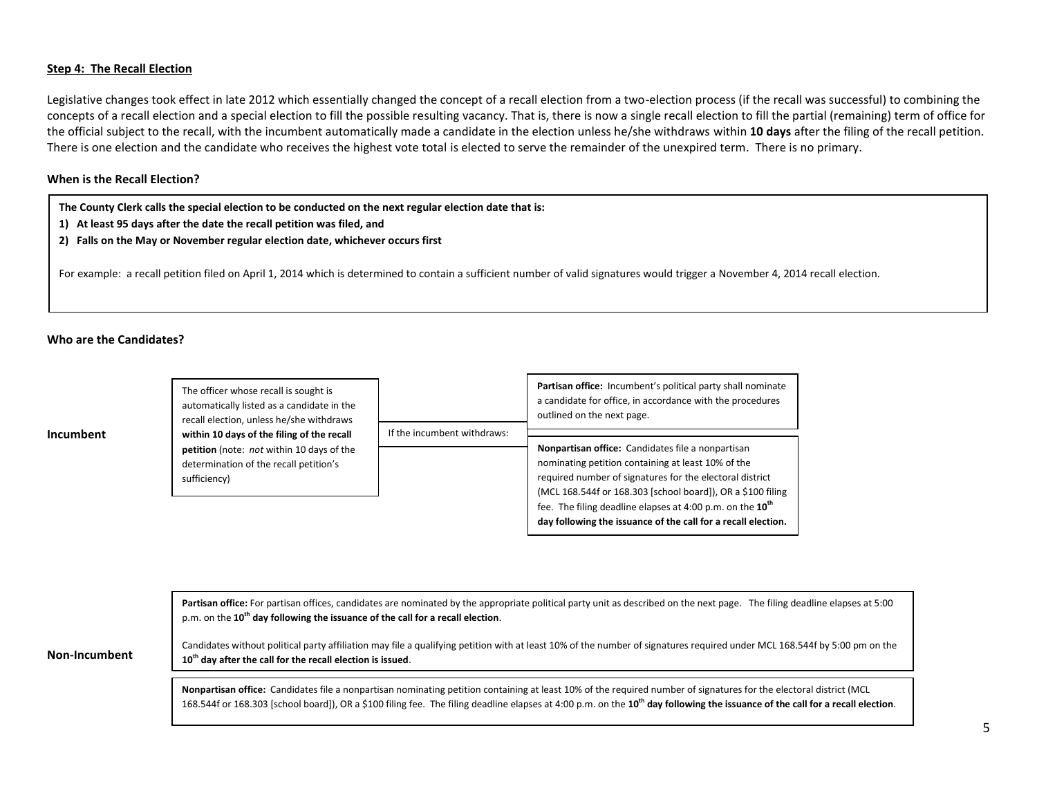## **Step 4: The Recall Election**

Legislative changes took effect in late 2012 which essentially changed the concept of a recall election from a two-election process (if the recall was successful) to combining the concepts of a recall election and a special election to fill the possible resulting vacancy. That is, there is now a single recall election to fill the partial (remaining) term of office for the official subject to the recall, with the incumbent automatically made a candidate in the election unless he/she withdraws within **10 days** after the filing of the recall petition. There is one election and the candidate who receives the highest vote total is elected to serve the remainder of the unexpired term. There is no primary.

## **When is the Recall Election?**

**The County Clerk calls the special election to be conducted on the next regular election date that is:**

- **1) At least 95 days after the date the recall petition was filed, and**
- **2) Falls on the May or November regular election date, whichever occurs first**

For example: a recall petition filed on April 1, 2014 which is determined to contain a sufficient number of valid signatures would trigger a November 4, 2014 recall election.

#### **Who are the Candidates?**

**Incumbent**

**Non-I** 

| The officer whose recall is sought is<br>automatically listed as a candidate in the<br>recall election, unless he/she withdraws |                             | Partisan office: Incumbent's political party shall nominate<br>a candidate for office, in accordance with the procedures<br>outlined on the next page. |
|---------------------------------------------------------------------------------------------------------------------------------|-----------------------------|--------------------------------------------------------------------------------------------------------------------------------------------------------|
| within 10 days of the filing of the recall                                                                                      | If the incumbent withdraws: |                                                                                                                                                        |
| petition (note: not within 10 days of the                                                                                       |                             | Nonpartisan office: Candidates file a nonpartisan                                                                                                      |
| determination of the recall petition's                                                                                          |                             | nominating petition containing at least 10% of the                                                                                                     |
| sufficiency)                                                                                                                    |                             | required number of signatures for the electoral district                                                                                               |
|                                                                                                                                 |                             | (MCL 168.544f or 168.303 [school board]), OR a \$100 filing                                                                                            |
|                                                                                                                                 |                             | fee. The filing deadline elapses at 4:00 p.m. on the 10 <sup>th</sup>                                                                                  |
|                                                                                                                                 |                             | day following the issuance of the call for a recall election.                                                                                          |

|          | Partisan office: For partisan offices, candidates are nominated by the appropriate political party unit as described on the next page. The filing deadline elapses at 5:00<br>p.m. on the 10 <sup>th</sup> day following the issuance of the call for a recall election.                                                                                         |
|----------|------------------------------------------------------------------------------------------------------------------------------------------------------------------------------------------------------------------------------------------------------------------------------------------------------------------------------------------------------------------|
| ncumbent | Candidates without political party affiliation may file a qualifying petition with at least 10% of the number of signatures required under MCL 168.544f by 5:00 pm on the<br>$10th$ day after the call for the recall election is issued.                                                                                                                        |
|          |                                                                                                                                                                                                                                                                                                                                                                  |
|          | Nonpartisan office: Candidates file a nonpartisan nominating petition containing at least 10% of the required number of signatures for the electoral district (MCL<br>168.544f or 168.303 [school board]), OR a \$100 filing fee. The filing deadline elapses at 4:00 p.m. on the 10 <sup>th</sup> day following the issuance of the call for a recall election. |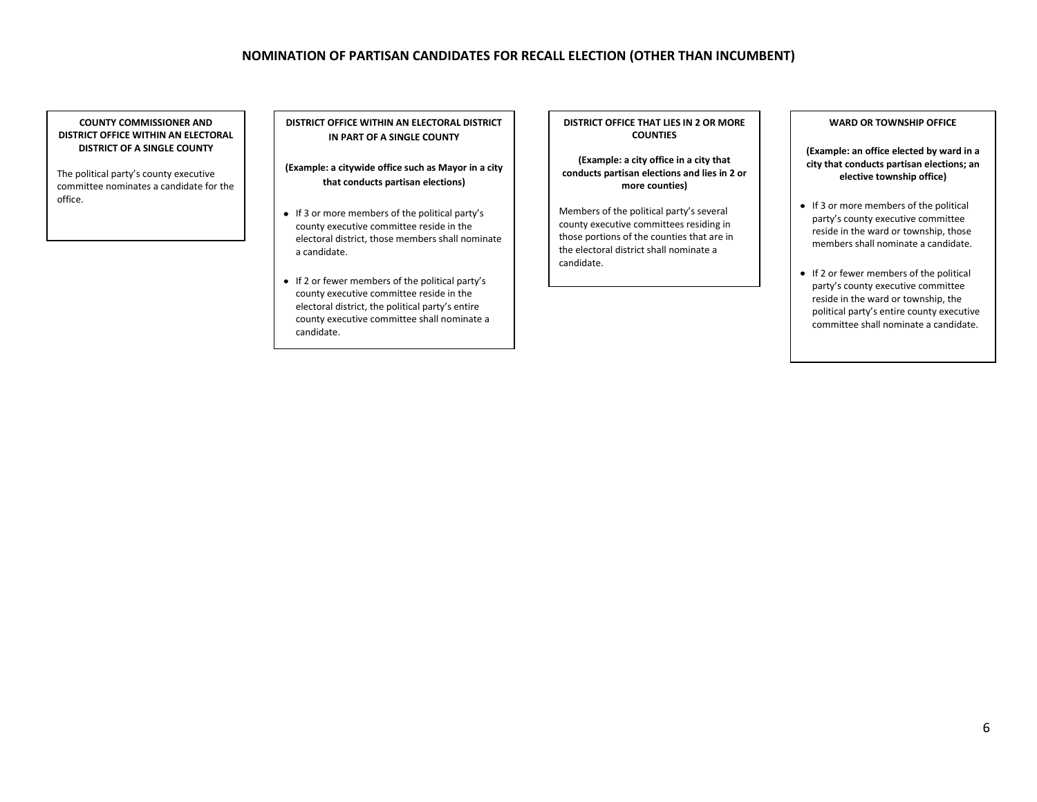# **NOMINATION OF PARTISAN CANDIDATES FOR RECALL ELECTION (OTHER THAN INCUMBENT)**

**COUNTY COMMISSIONER AND DISTRICT OFFICE WITHIN AN ELECTORAL DISTRICT OF A SINGLE COUNTY**

The political party's county executive committee nominates a candidate for the office.

#### **DISTRICT OFFICE WITHIN AN ELECTORAL DISTRICT IN PART OF A SINGLE COUNTY**

**(Example: a citywide office such as Mayor in a city that conducts partisan elections)**

- If 3 or more members of the political party's county executive committee reside in the electoral district, those members shall nominate a candidate.
- If 2 or fewer members of the political party's county executive committee reside in the electoral district, the political party's entire county executive committee shall nominate a candidate.

**DISTRICT OFFICE THAT LIES IN 2 OR MORE COUNTIES**

**(Example: a city office in a city that conducts partisan elections and lies in 2 or more counties)**

Members of the political party's several county executive committees residing in those portions of the counties that are in the electoral district shall nominate a candidate.

#### **WARD OR TOWNSHIP OFFICE**

**(Example: an office elected by ward in a city that conducts partisan elections; an elective township office)**

- $\bullet$  If 3 or more members of the political party's county executive committee reside in the ward or township, those members shall nominate a candidate.
- $\bullet$  If 2 or fewer members of the political party's county executive committee reside in the ward or township, the political party's entire county executive committee shall nominate a candidate.